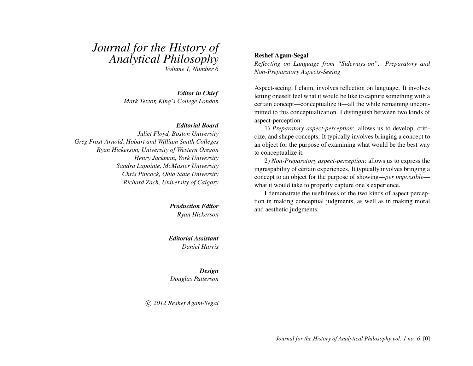# *Journal for the History of Analytical Philosophy*

*Volume 1, Number 6*

*Editor in Chief Mark Textor, King's College London*

### *Editorial Board*

*Juliet Floyd, Boston University Greg Frost-Arnold, Hobart and William Smith Colleges Ryan Hickerson, University of Western Oregon Henry Jackman, York University Sandra Lapointe, McMaster University Chris Pincock, Ohio State University Richard Zach, University of Calgary*

> *Production Editor Ryan Hickerson*

*Editorial Assistant Daniel Harris*

*Design Douglas Patterson*

c *2012 Reshef Agam-Segal*

### Reshef Agam-Segal

*Reflecting on Language from "Sideways-on": Preparatory and Non-Preparatory Aspects-Seeing*

Aspect-seeing, I claim, involves reflection on language. It involves letting oneself feel what it would be like to capture something with a certain concept—conceptualize it—all the while remaining uncommitted to this conceptualization. I distinguish between two kinds of aspect-perception:

1) *Preparatory aspect-perception*: allows us to develop, criticize, and shape concepts. It typically involves bringing a concept to an object for the purpose of examining what would be the best way to conceptualize it.

2) *Non-Preparatory aspect-perception*: allows us to express the ingraspability of certain experiences. It typically involves bringing a concept to an object for the purpose of showing—*per impossible* what it would take to properly capture one's experience.

I demonstrate the usefulness of the two kinds of aspect perception in making conceptual judgments, as well as in making moral and aesthetic judgments.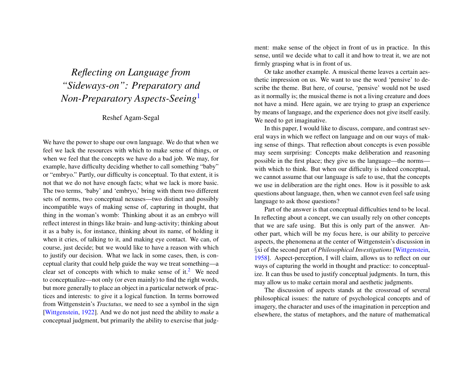# *Reflecting on Language from "Sideways-on": Preparatory and Non-Preparatory Aspects-Seeing*[1](#page-14-0)

# Reshef Agam-Segal

We have the power to shape our own language. We do that when we feel we lack the resources with which to make sense of things, or when we feel that the concepts we have do a bad job. We may, for example, have difficulty deciding whether to call something "baby" or "embryo." Partly, our difficulty is conceptual. To that extent, it is not that we do not have enough facts; what we lack is more basic. The two terms, 'baby' and 'embryo,' bring with them two different sets of norms, two conceptual nexuses—two distinct and possibly incompatible ways of making sense of, capturing in thought, that thing in the woman's womb: Thinking about it as an embryo will reflect interest in things like brain- and lung-activity; thinking about it as a baby is, for instance, thinking about its name, of holding it when it cries, of talking to it, and making eye contact. We can, of course, just decide; but we would like to have a reason with which to justify our decision. What we lack in some cases, then, is conceptual clarity that could help guide the way we treat something—a clear set of concepts with which to make sense of it.<sup>[2](#page-14-1)</sup> We need to conceptualize—not only (or even mainly) to find the right words, but more generally to place an object in a particular network of practices and interests: to give it a logical function. In terms borrowed from Wittgenstein's *Tractatus*, we need to see a symbol in the sign [\[Wittgenstein,](#page-17-0) [1922\]](#page-17-0). And we do not just need the ability to *make* a conceptual judgment, but primarily the ability to exercise that judgment: make sense of the object in front of us in practice. In this sense, until we decide what to call it and how to treat it, we are not firmly grasping what is in front of us.

<span id="page-1-0"></span>Or take another example. A musical theme leaves a certain aesthetic impression on us. We want to use the word 'pensive' to describe the theme. But here, of course, 'pensive' would not be used as it normally is; the musical theme is not a living creature and does not have a mind. Here again, we are trying to grasp an experience by means of language, and the experience does not give itself easily. We need to get imaginative.

In this paper, I would like to discuss, compare, and contrast several ways in which we reflect on language and on our ways of making sense of things. That reflection about concepts is even possible may seem surprising: Concepts make deliberation and reasoning possible in the first place; they give us the language—the norms with which to think. But when our difficulty is indeed conceptual, we cannot assume that our language is safe to use, that the concepts we use in deliberation are the right ones. How is it possible to ask questions about language, then, when we cannot even feel safe using language to ask those questions?

Part of the answer is that conceptual difficulties tend to be local. In reflecting about a concept, we can usually rely on other concepts that we are safe using. But this is only part of the answer. Another part, which will be my focus here, is our ability to perceive aspects, the phenomena at the center of Wittgenstein's discussion in §xi of the second part of *Philosophical Investigations* [\[Wittgenstein,](#page-17-1) [1958\]](#page-17-1). Aspect-perception, I will claim, allows us to reflect on our ways of capturing the world in thought and practice: to conceptualize. It can thus be used to justify conceptual judgments. In turn, this may allow us to make certain moral and aesthetic judgments.

<span id="page-1-1"></span>The discussion of aspects stands at the crossroad of several philosophical issues: the nature of psychological concepts and of imagery, the character and uses of the imagination in perception and elsewhere, the status of metaphors, and the nature of mathematical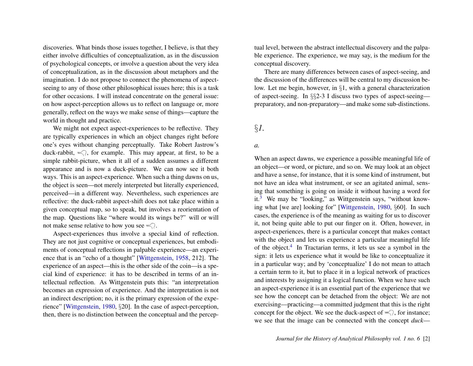discoveries. What binds those issues together, I believe, is that they either involve difficulties of conceptualization, as in the discussion of psychological concepts, or involve a question about the very idea of conceptualization, as in the discussion about metaphors and the imagination. I do not propose to connect the phenomena of aspectseeing to any of those other philosophical issues here; this is a task for other occasions. I will instead concentrate on the general issue: on how aspect-perception allows us to reflect on language or, more generally, reflect on the ways we make sense of things—capture the world in thought and practice.

We might not expect aspect-experiences to be reflective. They are typically experiences in which an object changes right before one's eyes without changing perceptually. Take Robert Jastrow's duck-rabbit,  $\leq$ , for example. This may appear, at first, to be a simple rabbit-picture, when it all of a sudden assumes a different appearance and is now a duck-picture. We can now see it both ways. This is an aspect-experience. When such a thing dawns on us, the object is seen—not merely interpreted but literally experienced, perceived—in a different way. Nevertheless, such experiences are reflective: the duck-rabbit aspect-shift does not take place within a given conceptual map, so to speak, but involves a reorientation of the map. Questions like "where would its wings be?" will or will not make sense relative to how you see  $\leq$ .

Aspect-experiences thus involve a special kind of reflection. They are not just cognitive or conceptual experiences, but embodiments of conceptual reflections in palpable experience—an experience that is an "echo of a thought" [\[Wittgenstein,](#page-17-1) [1958,](#page-17-1) 212]. The experience of an aspect—this is the other side of the coin—is a special kind of experience: it has to be described in terms of an intellectual reflection. As Wittgenstein puts this: "an interpretation becomes an expression of experience. And the interpretation is not an indirect description; no, it is the primary expression of the experience" [\[Wittgenstein,](#page-17-2) [1980,](#page-17-2) §20]. In the case of aspect-perception, then, there is no distinction between the conceptual and the perceptual level, between the abstract intellectual discovery and the palpable experience. The experience, we may say, is the medium for the conceptual discovery.

There are many differences between cases of aspect-seeing, and the discussion of the differences will be central to my discussion below. Let me begin, however, in §1, with a general characterization of aspect-seeing. In §§2-3 I discuss two types of aspect-seeing preparatory, and non-preparatory—and make some sub-distinctions.

# §*1.*

### *a.*

<span id="page-2-1"></span><span id="page-2-0"></span>When an aspect dawns, we experience a possible meaningful life of an object—or word, or picture, and so on. We may look at an object and have a sense, for instance, that it is some kind of instrument, but not have an idea what instrument, or see an agitated animal, sensing that something is going on inside it without having a word for it. $3$  We may be "looking," as Wittgenstein says, "without knowing what [we are] looking for" [\[Wittgenstein,](#page-17-2) [1980,](#page-17-2) §60]. In such cases, the experience is of the meaning as waiting for us to discover it, not being quite able to put our finger on it. Often, however, in aspect-experiences, there is a particular concept that makes contact with the object and lets us experience a particular meaningful life of the object.<sup>[4](#page-14-3)</sup> In Tractarian terms, it lets us see a symbol in the sign: it lets us experience what it would be like to conceptualize it in a particular way; and by 'conceptualize' I do not mean to attach a certain term to it, but to place it in a logical network of practices and interests by assigning it a logical function. When we have such an aspect-experience it is an essential part of the experience that we see how the concept can be detached from the object: We are not exercising—practicing—a committed judgment that this is the right concept for the object. We see the duck-aspect of  $\leq$ , for instance; we see that the image can be connected with the concept *duck*—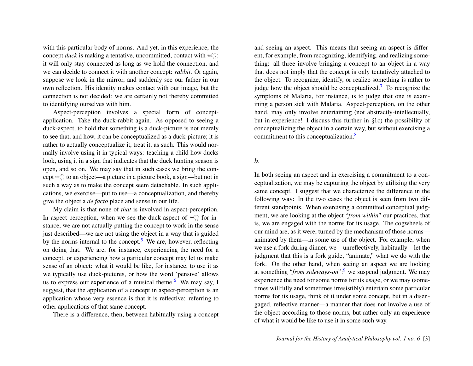with this particular body of norms. And yet, in this experience, the concept *duck* is making a tentative, uncommitted, contact with  $\leq$ ; it will only stay connected as long as we hold the connection, and we can decide to connect it with another concept: *rabbit*. Or again, suppose we look in the mirror, and suddenly see our father in our own reflection. His identity makes contact with our image, but the connection is not decided: we are certainly not thereby committed to identifying ourselves with him.

Aspect-perception involves a special form of conceptapplication. Take the duck-rabbit again. As opposed to seeing a duck-aspect, to hold that something is a duck-picture is not merely to see that, and how, it can be conceptualized as a duck-picture; it is rather to actually conceptualize it, treat it, as such. This would normally involve using it in typical ways: teaching a child how ducks look, using it in a sign that indicates that the duck hunting season is open, and so on. We may say that in such cases we bring the concept  $\leq$  to an object—a picture in a picture book, a sign—but not in such a way as to make the concept seem detachable. In such applications, we exercise—put to use—a conceptualization, and thereby give the object a *de facto* place and sense in our life.

<span id="page-3-0"></span>My claim is that none of *that* is involved in aspect-perception. In aspect-perception, when we see the duck-aspect of  $\leq$  for instance, we are not actually putting the concept to work in the sense just described—we are not using the object in a way that is guided by the norms internal to the concept.<sup>[5](#page-14-4)</sup> We are, however, reflecting on doing that. We are, for instance, experiencing the need for a concept, or experiencing how a particular concept may let us make sense of an object: what it would be like, for instance, to use it as we typically use duck-pictures, or how the word 'pensive' allows us to express our experience of a musical theme.<sup>[6](#page-14-5)</sup> We may say, I suggest, that the application of a concept in aspect-perception is an application whose very essence is that it is reflective: referring to other applications of that same concept.

<span id="page-3-1"></span>There is a difference, then, between habitually using a concept

<span id="page-3-2"></span>and seeing an aspect. This means that seeing an aspect is different, for example, from recognizing, identifying, and realizing something: all three involve bringing a concept to an object in a way that does not imply that the concept is only tentatively attached to the object. To recognize, identify, or realize something is rather to judge how the object should be conceptualized.<sup>[7](#page-15-0)</sup> To recognize the symptoms of Malaria, for instance, is to judge that one is examining a person sick with Malaria. Aspect-perception, on the other hand, may only involve entertaining (not abstractly-intellectually, but in experience! I discuss this further in §1c) the possibility of conceptualizing the object in a certain way, but without exercising a commitment to this conceptualization.<sup>[8](#page-15-1)</sup>

# <span id="page-3-3"></span>*b.*

<span id="page-3-4"></span>In both seeing an aspect and in exercising a commitment to a conceptualization, we may be capturing the object by utilizing the very same concept. I suggest that we characterize the difference in the following way: In the two cases the object is seen from two different standpoints. When exercising a committed conceptual judgment, we are looking at the object "*from within*" our practices, that is, we are engaged with the norms for its usage. The cogwheels of our mind are, as it were, turned by the mechanism of those norms animated by them—in some use of the object. For example, when we use a fork during dinner, we—unreflectively, habitually—let the judgment that this is a fork guide, "animate," what we do with the fork. On the other hand, when seeing an aspect we are looking at something "*from sideways-on*":[9](#page-15-2) we suspend judgment. We may experience the need for some norms for its usage, or we may (sometimes willfully and sometimes irresistibly) entertain some particular norms for its usage, think of it under some concept, but in a disengaged, reflective manner—a manner that does not involve a use of the object according to those norms, but rather only an experience of what it would be like to use it in some such way.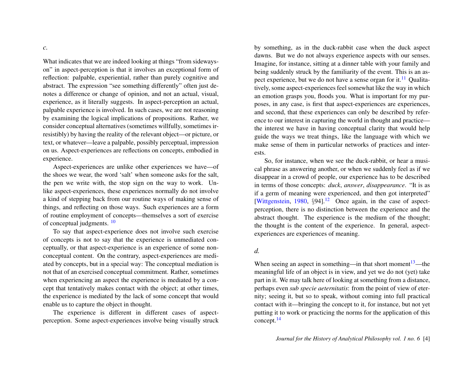*c.*

What indicates that we are indeed looking at things "from sidewayson" in aspect-perception is that it involves an exceptional form of reflection: palpable, experiential, rather than purely cognitive and abstract. The expression "see something differently" often just denotes a difference or change of opinion, and not an actual, visual, experience, as it literally suggests. In aspect-perception an actual, palpable experience is involved. In such cases, we are not reasoning by examining the logical implications of propositions. Rather, we consider conceptual alternatives (sometimes willfully, sometimes irresistibly) by having the reality of the relevant object—or picture, or text, or whatever—leave a palpable, possibly perceptual, impression on us. Aspect-experiences are reflections on concepts, embodied in experience.

Aspect-experiences are unlike other experiences we have—of the shoes we wear, the word 'salt' when someone asks for the salt, the pen we write with, the stop sign on the way to work. Unlike aspect-experiences, these experiences normally do not involve a kind of stepping back from our routine ways of making sense of things, and reflecting on those ways. Such experiences are a form of routine employment of concepts—themselves a sort of exercise of conceptual judgments. [10](#page-15-3)

<span id="page-4-0"></span>To say that aspect-experience does not involve such exercise of concepts is not to say that the experience is unmediated conceptually, or that aspect-experience is an experience of some nonconceptual content. On the contrary, aspect-experiences are mediated by concepts, but in a special way: The conceptual mediation is not that of an exercised conceptual commitment. Rather, sometimes when experiencing an aspect the experience is mediated by a concept that tentatively makes contact with the object; at other times, the experience is mediated by the lack of some concept that would enable us to capture the object in thought.

The experience is different in different cases of aspectperception. Some aspect-experiences involve being visually struck <span id="page-4-1"></span>by something, as in the duck-rabbit case when the duck aspect dawns. But we do not always experience aspects with our senses. Imagine, for instance, sitting at a dinner table with your family and being suddenly struck by the familiarity of the event. This is an as-pect experience, but we do not have a sense organ for it.<sup>[11](#page-15-4)</sup> Qualitatively, some aspect-experiences feel somewhat like the way in which an emotion grasps you, floods you. What is important for my purposes, in any case, is first that aspect-experiences are experiences, and second, that these experiences can only be described by reference to our interest in capturing the world in thought and practice the interest we have in having conceptual clarity that would help guide the ways we treat things, like the language with which we make sense of them in particular networks of practices and interests.

<span id="page-4-2"></span>So, for instance, when we see the duck-rabbit, or hear a musical phrase as answering another, or when we suddenly feel as if we disappear in a crowd of people, our experience has to be described in terms of those concepts: *duck*, *answer*, *disappearance*. "It is as if a germ of meaning were experienced, and then got interpreted" [\[Wittgenstein,](#page-17-2)  $1980$ ,  $\S 94$ ].<sup>[12](#page-15-5)</sup> Once again, in the case of aspectperception, there is no distinction between the experience and the abstract thought. The experience is the medium of the thought; the thought is the content of the experience. In general, aspectexperiences are experiences of meaning.

### *d.*

<span id="page-4-4"></span><span id="page-4-3"></span>When seeing an aspect in something—in that short moment $13$ —the meaningful life of an object is in view, and yet we do not (yet) take part in it. We may talk here of looking at something from a distance, perhaps even *sub specie aeternitatis*: from the point of view of eternity; seeing it, but so to speak, without coming into full practical contact with it—bringing the concept to it, for instance, but not yet putting it to work or practicing the norms for the application of this concept.[14](#page-15-7)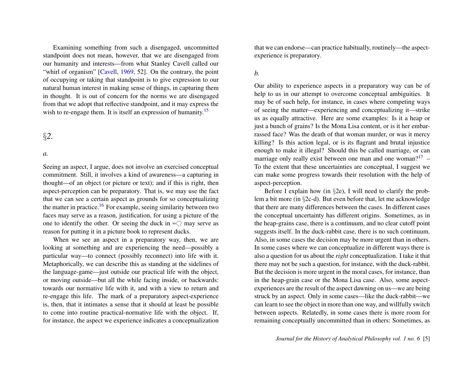Examining something from such a disengaged, uncommitted standpoint does not mean, however, that we are disengaged from our humanity and interests—from what Stanley Cavell called our "whirl of organism" [\[Cavell,](#page-17-3) [1969,](#page-17-3) 52]. On the contrary, the point of occupying or taking that standpoint is to give expression to our natural human interest in making sense of things, in capturing them in thought. It is out of concern for the norms we are disengaged from that we adopt that reflective standpoint, and it may express the wish to re-engage them. It is itself an expression of humanity.<sup>[15](#page-15-8)</sup>

# §*2.*

#### *a.*

Seeing an aspect, I argue, does not involve an exercised conceptual commitment. Still, it involves a kind of awareness—a capturing in thought—of an object (or picture or text); and if this is right, then aspect-perception can be preparatory. That is, we may use the fact that we can see a certain aspect as grounds for so conceptualizing the matter in practice.<sup>[16](#page-15-9)</sup> For example, seeing similarity between two faces may serve as a reason, justification, for using a picture of the one to identify the other. Or seeing the duck in  $\leq$  may serve as reason for putting it in a picture book to represent ducks.

<span id="page-5-1"></span>When we see an aspect in a preparatory way, then, we are looking at something and are experiencing the need—possibly a particular way—to connect (possibly reconnect) into life with it. Metaphorically, we can describe this as standing at the sidelines of the language-game—just outside our practical life with the object, or moving outside—but all the while facing inside, or backwards: towards our normative life with it, and with a view to return and re-engage this life. The mark of a preparatory aspect-experience is, then, that it intimates a sense that it should at least be possible to come into routine practical-normative life with the object. If, for instance, the aspect we experience indicates a conceptualization

that we can endorse—can practice habitually, routinely—the aspectexperience is preparatory.

# *b.*

<span id="page-5-0"></span>Our ability to experience aspects in a preparatory way can be of help to us in our attempt to overcome conceptual ambiguities. It may be of such help, for instance, in cases where competing ways of seeing the matter—experiencing and conceptualizing it—strike us as equally attractive. Here are some examples: Is it a heap or just a bunch of grains? Is the Mona Lisa content, or is it her embarrassed face? Was the death of that woman murder, or was it mercy killing? Is this action legal, or is its flagrant and brutal injustice enough to make it illegal? Should this be called marriage, or can marriage only really exist between one man and one woman?<sup>[17](#page-15-10)</sup> – To the extent that these uncertainties are conceptual, I suggest we can make some progress towards their resolution with the help of aspect-perception.

<span id="page-5-2"></span>Before I explain how (in §2e), I will need to clarify the problem a bit more (in §2c-d). But even before that, let me acknowledge that there are many differences between the cases. In different cases the conceptual uncertainty has different origins. Sometimes, as in the heap-grains case, there is a continuum, and no clear cutoff point suggests itself. In the duck-rabbit case, there is no such continuum. Also, in some cases the decision may be more urgent than in others. In some cases where we can conceptualize in different ways there is also a question for us about the *right* conceptualization. I take it that there may not be such a question, for instance, with the duck-rabbit. But the decision is more urgent in the moral cases, for instance, than in the heap-grain case or the Mona Lisa case. Also, some aspectexperiences are the result of the aspect dawning on us—we are being struck by an aspect. Only in some cases—like the duck-rabbit—we can learn to see the object in more than one way, and willfully switch between aspects. Relatedly, in some cases there is more room for remaining conceptually uncommitted than in others: Sometimes, as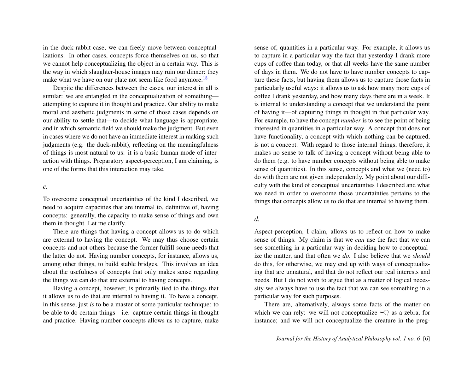in the duck-rabbit case, we can freely move between conceptualizations. In other cases, concepts force themselves on us, so that we cannot help conceptualizing the object in a certain way. This is the way in which slaughter-house images may ruin our dinner: they make what we have on our plate not seem like food anymore.<sup>[18](#page-15-11)</sup>

Despite the differences between the cases, our interest in all is similar: we are entangled in the conceptualization of something attempting to capture it in thought and practice. Our ability to make moral and aesthetic judgments in some of those cases depends on our ability to settle that—to decide what language is appropriate, and in which semantic field we should make the judgment. But even in cases where we do not have an immediate interest in making such judgments (e.g. the duck-rabbit), reflecting on the meaningfulness of things is most natural to us: it is a basic human mode of interaction with things. Preparatory aspect-perception, I am claiming, is one of the forms that this interaction may take.

#### *c.*

To overcome conceptual uncertainties of the kind I described, we need to acquire capacities that are internal to, definitive of, having concepts: generally, the capacity to make sense of things and own them in thought. Let me clarify.

There are things that having a concept allows us to do which are external to having the concept. We may thus choose certain concepts and not others because the former fulfill some needs that the latter do not. Having number concepts, for instance, allows us, among other things, to build stable bridges. This involves an idea about the usefulness of concepts that only makes sense regarding the things we can do that are external to having concepts.

Having a concept, however, is primarily tied to the things that it allows us to do that are internal to having it. To have a concept, in this sense, just *is* to be a master of some particular technique: to be able to do certain things—i.e. capture certain things in thought and practice. Having number concepts allows us to capture, make

<span id="page-6-0"></span>sense of, quantities in a particular way. For example, it allows us to capture in a particular way the fact that yesterday I drank more cups of coffee than today, or that all weeks have the same number of days in them. We do not have to have number concepts to capture these facts, but having them allows us to capture those facts in particularly useful ways: it allows us to ask how many more cups of coffee I drank yesterday, and how many days there are in a week. It is internal to understanding a concept that we understand the point of having it—of capturing things in thought in that particular way. For example, to have the concept *number* is to see the point of being interested in quantities in a particular way. A concept that does not have functionality, a concept with which nothing can be captured, is not a concept. With regard to those internal things, therefore, it makes no sense to talk of having a concept without being able to do them (e.g. to have number concepts without being able to make sense of quantities). In this sense, concepts and what we (need to) do with them are not given independently. My point about our difficulty with the kind of conceptual uncertainties I described and what we need in order to overcome those uncertainties pertains to the things that concepts allow us to do that are internal to having them.

# *d.*

Aspect-perception, I claim, allows us to reflect on how to make sense of things. My claim is that we *can* use the fact that we can see something in a particular way in deciding how to conceptualize the matter, and that often we *do*. I also believe that we *should* do this, for otherwise, we may end up with ways of conceptualizing that are unnatural, and that do not reflect our real interests and needs. But I do not wish to argue that as a matter of logical necessity we always have to use the fact that we can see something in a particular way for such purposes.

There are, alternatively, always some facts of the matter on which we can rely: we will not conceptualize  $\leq$  as a zebra, for instance; and we will not conceptualize the creature in the preg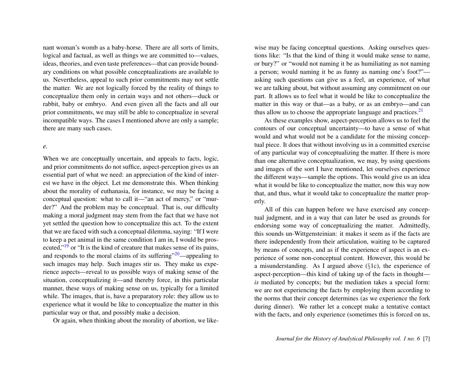nant woman's womb as a baby-horse. There are all sorts of limits, logical and factual, as well as things we are committed to—values, ideas, theories, and even taste preferences—that can provide boundary conditions on what possible conceptualizations are available to us. Nevertheless, appeal to such prior commitments may not settle the matter. We are not logically forced by the reality of things to conceptualize them only in certain ways and not others—duck or rabbit, baby or embryo. And even given all the facts and all our prior commitments, we may still be able to conceptualize in several incompatible ways. The cases I mentioned above are only a sample; there are many such cases.

#### *e.*

When we are conceptually uncertain, and appeals to facts, logic, and prior commitments do not suffice, aspect-perception gives us an essential part of what we need: an appreciation of the kind of interest we have in the object. Let me demonstrate this. When thinking about the morality of euthanasia, for instance, we may be facing a conceptual question: what to call it—"an act of mercy," or "murder?" And the problem may be conceptual. That is, our difficulty making a moral judgment may stem from the fact that we have not yet settled the question how to conceptualize this act. To the extent that we are faced with such a conceptual dilemma, saying: "If I were to keep a pet animal in the same condition I am in, I would be pros-ecuted,"<sup>[19](#page-15-12)</sup> or "It is the kind of creature that makes sense of its pains, and responds to the moral claims of its suffering $\frac{20}{20}$  $\frac{20}{20}$  $\frac{20}{20}$ —appealing to such images may help. Such images stir us. They make us experience aspects—reveal to us possible ways of making sense of the situation, conceptualizing it—and thereby force, in this particular manner, these ways of making sense on us, typically for a limited while. The images, that is, have a preparatory role: they allow us to experience what it would be like to conceptualize the matter in this particular way or that, and possibly make a decision.

<span id="page-7-0"></span>Or again, when thinking about the morality of abortion, we like-

wise may be facing conceptual questions. Asking ourselves questions like: "Is that the kind of thing it would make sense to name, or bury?" or "would not naming it be as humiliating as not naming a person; would naming it be as funny as naming one's foot?" asking such questions can give us a feel, an experience, of what we are talking about, but without assuming any commitment on our part. It allows us to feel what it would be like to conceptualize the matter in this way or that—as a baby, or as an embryo—and can thus allow us to choose the appropriate language and practices. $2<sup>1</sup>$ 

<span id="page-7-2"></span>As these examples show, aspect-perception allows us to feel the contours of our conceptual uncertainty—to have a sense of what would and what would not be a candidate for the missing conceptual piece. It does that without involving us in a committed exercise of any particular way of conceptualizing the matter. If there is more than one alternative conceptualization, we may, by using questions and images of the sort I have mentioned, let ourselves experience the different ways—sample the options. This would give us an idea what it would be like to conceptualize the matter, now this way now that, and thus, what it would take to conceptualize the matter properly.

<span id="page-7-1"></span>All of this can happen before we have exercised any conceptual judgment, and in a way that can later be used as grounds for endorsing some way of conceptualizing the matter. Admittedly, this sounds un-Wittgensteinian: it makes it seem as if the facts are there independently from their articulation, waiting to be captured by means of concepts, and as if the experience of aspect is an experience of some non-conceptual content. However, this would be a misunderstanding. As I argued above (§1c), the experience of aspect-perception—this kind of taking up of the facts in thought *is* mediated by concepts; but the mediation takes a special form: we are not experiencing the facts by employing them according to the norms that their concept determines (as we experience the fork during dinner). We rather let a concept make a tentative contact with the facts, and only experience (sometimes this is forced on us,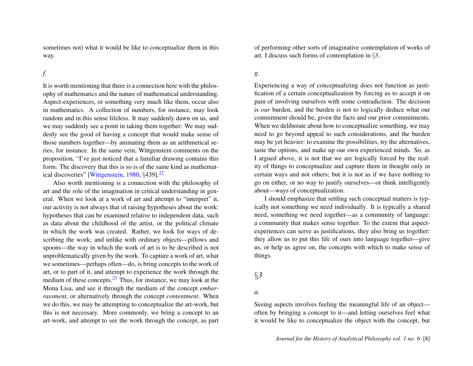sometimes not) what it would be like to conceptualize them in this way.

# *f.*

It is worth mentioning that there is a connection here with the philosophy of mathematics and the nature of mathematical understanding. Aspect-experiences, or something very much like them, occur also in mathematics. A collection of numbers, for instance, may look random and in this sense lifeless. It may suddenly dawn on us, and we may suddenly see a point in taking them together: We may suddenly see the good of having a concept that would make sense of those numbers together—by animating them as an arithmetical series, for instance. In the same vein, Wittgenstein comments on the proposition, "I've just noticed that a familiar drawing contains this form: The discovery that this is so is of the same kind as mathemat-ical discoveries" [\[Wittgenstein,](#page-17-2)  $1980, §439$  $1980, §439$ ].<sup>[22](#page-16-0)</sup>

<span id="page-8-1"></span>Also worth mentioning is a connection with the philosophy of art and the role of the imagination in critical understanding in general. When we look at a work of art and attempt to "interpret" it, our activity is not always that of raising hypotheses about the work: hypotheses that can be examined relative to independent data, such as data about the childhood of the artist, or the political climate in which the work was created. Rather, we look for ways of describing the work; and unlike with ordinary objects—pillows and spoons—the way in which the work of art is to be described is not unproblematically given by the work. To capture a work of art, what we sometimes—perhaps often—do, is bring concepts to the work of art, or to part of it, and attempt to experience the work through the medium of these concepts. $^{23}$  $^{23}$  $^{23}$  Thus, for instance, we may look at the Mona Lisa, and see it through the medium of the concept *embarrassment*, or alternatively through the concept *contentment*. When we do this, we may be attempting to conceptualize the art-work, but this is not necessary. More commonly, we bring a concept to an art-work, and attempt to see the work through the concept, as part

of performing other sorts of imaginative contemplation of works of art. I discuss such forms of contemplation in §3.

# *g.*

Experiencing a way of conceptualizing does not function as justification of a certain conceptualization by forcing us to accept it on pain of involving ourselves with some contradiction. The decision is *our* burden, and the burden is not to logically deduce what our commitment should be, given the facts and our prior commitments. When we deliberate about how to conceptualize something, we may need to go beyond appeal to such considerations, and the burden may be yet heavier: to examine the possibilities, try the alternatives, taste the options, and make up our own experienced minds. So, as I argued above, it is not that we are logically forced by the reality of things to conceptualize and capture them in thought only in certain ways and not others; but it is not as if we have nothing to go on either, or no way to justify ourselves—or think intelligently about—ways of conceptualization.

<span id="page-8-0"></span>I should emphasize that settling such conceptual matters is typically not something we need individually. It is typically a shared need, something we need together—as a community of language: a community that makes sense together. To the extent that aspectexperiences can serve as justifications, they also bring us together: they allow us to put this life of ours into language together—give us, or help us agree on, the concepts with which to make sense of things.

# §*3*

### *a.*

Seeing aspects involves feeling the meaningful life of an object often by bringing a concept to it—and letting ourselves feel what it would be like to conceptualize the object with the concept, but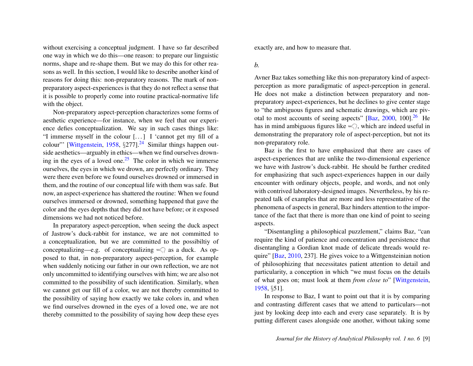without exercising a conceptual judgment. I have so far described one way in which we do this—one reason: to prepare our linguistic norms, shape and re-shape them. But we may do this for other reasons as well. In this section, I would like to describe another kind of reasons for doing this: non-preparatory reasons. The mark of nonpreparatory aspect-experiences is that they do not reflect a sense that it is possible to properly come into routine practical-normative life with the object.

<span id="page-9-1"></span><span id="page-9-0"></span>Non-preparatory aspect-perception characterizes some forms of aesthetic experience—for instance, when we feel that our experience defies conceptualization. We say in such cases things like: "I immerse myself in the colour  $[...]$  I 'cannot get my fill of a colour"' [\[Wittgenstein,](#page-17-1) [1958,](#page-17-1)  $\S277$ ].<sup>[24](#page-16-2)</sup> Similar things happen outside aesthetics—arguably in ethics—when we find ourselves drown-ing in the eyes of a loved one.<sup>[25](#page-16-3)</sup> The color in which we immerse ourselves, the eyes in which we drown, are perfectly ordinary. They were there even before we found ourselves drowned or immersed in them, and the routine of our conceptual life with them was safe. But now, an aspect-experience has shattered the routine: When we found ourselves immersed or drowned, something happened that gave the color and the eyes depths that they did not have before; or it exposed dimensions we had not noticed before.

In preparatory aspect-perception, when seeing the duck aspect of Jastrow's duck-rabbit for instance, we are not committed to a conceptualization, but we are committed to the possibiltiy of conceptualizing—e.g. of conceptualizing  $\leq$  as a duck. As opposed to that, in non-preparatory aspect-perception, for example when suddenly noticing our father in our own reflection, we are not only uncommitted to identifying ourselves with him; we are also not committed to the possibility of such identification. Similarly, when we cannot get our fill of a color, we are not thereby committed to the possibility of saying how exactly we take colors in, and when we find ourselves drowned in the eyes of a loved one, we are not thereby committed to the possibility of saying how deep these eyes

exactly are, and how to measure that.

### *b.*

Avner Baz takes something like this non-preparatory kind of aspectperception as more paradigmatic of aspect-perception in general. He does not make a distinction between preparatory and nonpreparatory aspect-experiences, but he declines to give center stage to "the ambiguous figures and schematic drawings, which are piv-otal to most accounts of seeing aspects" [\[Baz,](#page-17-4) [2000,](#page-17-4) 100].<sup>[26](#page-16-4)</sup> He has in mind ambiguous figures like  $\leq$ , which are indeed useful in demonstrating the preparatory role of aspect-perception, but not its non-preparatory role.

<span id="page-9-2"></span>Baz is the first to have emphasized that there are cases of aspect-experiences that are unlike the two-dimensional experience we have with Jastrow's duck-rabbit. He should be further credited for emphasizing that such aspect-experiences happen in our daily encounter with ordinary objects, people, and words, and not only with contrived laboratory-designed images. Nevertheless, by his repeated talk of examples that are more and less representative of the phenomena of aspects in general, Baz hinders attention to the importance of the fact that there is more than one kind of point to seeing aspects.

"Disentangling a philosophical puzzlement," claims Baz, "can require the kind of patience and concentration and persistence that disentangling a Gordian knot made of delicate threads would require" [\[Baz,](#page-17-5) [2010,](#page-17-5) 237]. He gives voice to a Wittgensteinian notion of philosophizing that necessitates patient attention to detail and particularity, a conception in which "we must focus on the details of what goes on; must look at them *from close to*" [\[Wittgenstein,](#page-17-1) [1958,](#page-17-1) §51].

In response to Baz, I want to point out that it is by comparing and contrasting different cases that we attend to particulars—not just by looking deep into each and every case separately. It is by putting different cases alongside one another, without taking some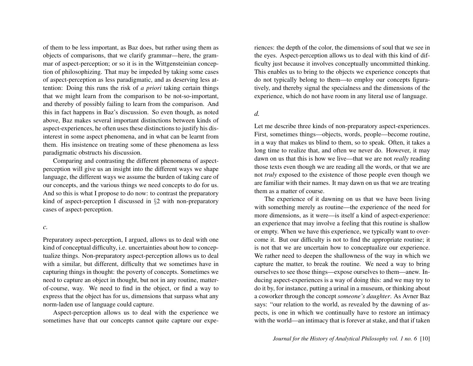of them to be less important, as Baz does, but rather using them as objects of comparisons, that we clarify grammar—here, the grammar of aspect-perception; or so it is in the Wittgensteinian conception of philosophizing. That may be impeded by taking some cases of aspect-perception as less paradigmatic, and as deserving less attention: Doing this runs the risk of *a priori* taking certain things that we might learn from the comparison to be not-so-important, and thereby of possibly failing to learn from the comparison. And this in fact happens in Baz's discussion. So even though, as noted above, Baz makes several important distinctions between kinds of aspect-experiences, he often uses these distinctions to justify his disinterest in some aspect phenomena, and in what can be learnt from them. His insistence on treating some of these phenomena as less paradigmatic obstructs his discussion.

Comparing and contrasting the different phenomena of aspectperception will give us an insight into the different ways we shape language, the different ways we assume the burden of taking care of our concepts, and the various things we need concepts to do for us. And so this is what I propose to do now: to contrast the preparatory kind of aspect-perception I discussed in §2 with non-preparatory cases of aspect-perception.

#### *c.*

Preparatory aspect-perception, I argued, allows us to deal with one kind of conceptual difficulty, i.e. uncertainties about how to conceptualize things. Non-preparatory aspect-perception allows us to deal with a similar, but different, difficulty that we sometimes have in capturing things in thought: the poverty of concepts. Sometimes we need to capture an object in thought, but not in any routine, matterof-course, way. We need to find in the object, or find a way to express that the object has for us, dimensions that surpass what any norm-laden use of language could capture.

Aspect-perception allows us to deal with the experience we sometimes have that our concepts cannot quite capture our experiences: the depth of the color, the dimensions of soul that we see in the eyes. Aspect-perception allows us to deal with this kind of difficulty just because it involves conceptually uncommitted thinking. This enables us to bring to the objects we experience concepts that do not typically belong to them—to employ our concepts figuratively, and thereby signal the specialness and the dimensions of the experience, which do not have room in any literal use of language.

### *d.*

Let me describe three kinds of non-preparatory aspect-experiences. First, sometimes things—objects, words, people—become routine, in a way that makes us blind to them, so to speak. Often, it takes a long time to realize that, and often we never do. However, it may dawn on us that this is how we live—that we are not *really* reading those texts even though we are reading all the words, or that we are not *truly* exposed to the existence of those people even though we are familiar with their names. It may dawn on us that we are treating them as a matter of course.

The experience of it dawning on us that we have been living with something merely as routine—the experience of the need for more dimensions, as it were—is itself a kind of aspect-experience: an experience that may involve a feeling that this routine is shallow or empty. When we have this experience, we typically want to overcome it. But our difficulty is not to find the appropriate routine; it is not that we are uncertain how to conceptualize our experience. We rather need to deepen the shallowness of the way in which we capture the matter, to break the routine. We need a way to bring ourselves to see those things—expose ourselves to them—anew. Inducing aspect-experiences is a way of doing this: and we may try to do it by, for instance, putting a urinal in a museum, or thinking about a coworker through the concept *someone's daughter*. As Avner Baz says: "our relation to the world, as revealed by the dawning of aspects, is one in which we continually have to restore an intimacy with the world—an intimacy that is forever at stake, and that if taken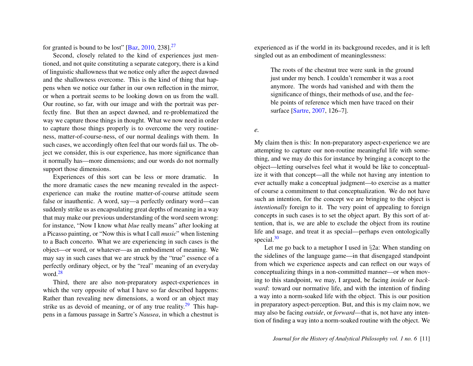for granted is bound to be lost"  $[Baz, 2010, 238]$  $[Baz, 2010, 238]$  $[Baz, 2010, 238]$  $[Baz, 2010, 238]$ .<sup>[27](#page-16-5)</sup>

Second, closely related to the kind of experiences just mentioned, and not quite constituting a separate category, there is a kind of linguistic shallowness that we notice only after the aspect dawned and the shallowness overcome. This is the kind of thing that happens when we notice our father in our own reflection in the mirror, or when a portrait seems to be looking down on us from the wall. Our routine, so far, with our image and with the portrait was perfectly fine. But then an aspect dawned, and re-problematized the way we capture those things in thought. What we now need in order to capture those things properly is to overcome the very routineness, matter-of-course-ness, of our normal dealings with them. In such cases, we accordingly often feel that our words fail us. The object we consider, this is our experience, has more significance than it normally has—more dimensions; and our words do not normally support those dimensions.

Experiences of this sort can be less or more dramatic. In the more dramatic cases the new meaning revealed in the aspectexperience can make the routine matter-of-course attitude seem false or inauthentic. A word, say—a perfectly ordinary word—can suddenly strike us as encapsulating great depths of meaning in a way that may make our previous understanding of the word seem wrong: for instance, "Now I know what *blue* really means" after looking at a Picasso painting, or "Now this is what I call *music*" when listening to a Bach concerto. What we are experiencing in such cases is the object—or word, or whatever—as an embodiment of meaning. We may say in such cases that we are struck by the "true" essence of a perfectly ordinary object, or by the "real" meaning of an everyday word.<sup>[28](#page-16-6)</sup>

<span id="page-11-1"></span>Third, there are also non-preparatory aspect-experiences in which the very opposite of what I have so far described happens: Rather than revealing new dimensions, a word or an object may strike us as devoid of meaning, or of any true reality.<sup>[29](#page-16-7)</sup> This happens in a famous passage in Sartre's *Nausea*, in which a chestnut is <span id="page-11-0"></span>experienced as if the world in its background recedes, and it is left singled out as an embodiment of meaninglessness:

The roots of the chestnut tree were sunk in the ground just under my bench. I couldn't remember it was a root anymore. The words had vanished and with them the significance of things, their methods of use, and the feeble points of reference which men have traced on their surface [\[Sartre,](#page-17-6) [2007,](#page-17-6) 126–7].

*e.*

My claim then is this: In non-preparatory aspect-experience we are attempting to capture our non-routine meaningful life with something, and we may do this for instance by bringing a concept to the object—letting ourselves feel what it would be like to conceptualize it with that concept—all the while not having any intention to ever actually make a conceptual judgment—to exercise as a matter of course a commitment to that conceptualization. We do not have such an intention, for the concept we are bringing to the object is *intentionally* foreign to it. The very point of appealing to foreign concepts in such cases is to set the object apart. By this sort of attention, that is, we are able to exclude the object from its routine life and usage, and treat it as special—perhaps even ontologically special. $30$ 

<span id="page-11-3"></span><span id="page-11-2"></span>Let me go back to a metaphor I used in §2a: When standing on the sidelines of the language game—in that disengaged standpoint from which we experience aspects and can reflect on our ways of conceptualizing things in a non-committed manner—or when moving to this standpoint, we may, I argued, be facing *inside* or *backward*: toward our normative life, and with the intention of finding a way into a norm-soaked life with the object. This is our position in preparatory aspect-perception. But, and this is my claim now, we may also be facing *outside*, or *forward*—that is, not have any intention of finding a way into a norm-soaked routine with the object. We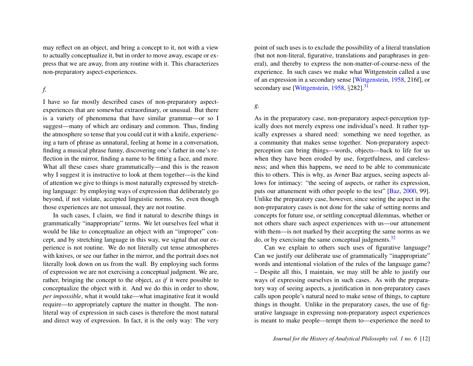may reflect on an object, and bring a concept to it, not with a view to actually conceptualize it, but in order to move away, escape or express that we are away, from any routine with it. This characterizes non-preparatory aspect-experiences.

*f.*

I have so far mostly described cases of non-preparatory aspectexperiences that are somewhat extraordinary, or unusual. But there is a variety of phenomena that have similar grammar—or so I suggest—many of which are ordinary and common. Thus, finding the atmosphere so tense that you could cut it with a knife, experiencing a turn of phrase as unnatural, feeling at home in a conversation, finding a musical phrase funny, discovering one's father in one's reflection in the mirror, finding a name to be fitting a face, and more. What all these cases share grammatically—and this is the reason why I suggest it is instructive to look at them together—is the kind of attention we give to things is most naturally expressed by stretching language: by employing ways of expression that deliberately go beyond, if not violate, accepted linguistic norms. So, even though those experiences are not unusual, they are not routine.

In such cases, I claim, we find it natural to describe things in grammatically "inappropriate" terms. We let ourselves feel what it would be like to conceptualize an object with an "improper" concept, and by stretching language in this way, we signal that our experience is not routine. We do not literally cut tense atmospheres with knives, or see our father in the mirror, and the portrait does not literally look down on us from the wall. By employing such forms of expression we are not exercising a conceptual judgment. We are, rather, bringing the concept to the object, *as if* it were possible to conceptualize the object with it. And we do this in order to show, *per impossible*, what it would take—what imaginative feat it would require—to appropriately capture the matter in thought. The nonliteral way of expression in such cases is therefore the most natural and direct way of expression. In fact, it is the only way: The very

point of such uses is to exclude the possibility of a literal translation (but not non-literal, figurative, translations and paraphrases in general), and thereby to express the non-matter-of-course-ness of the experience. In such cases we make what Wittgenstein called a use of an expression in a secondary sense [\[Wittgenstein,](#page-17-1) [1958,](#page-17-1) 216f], or secondary use [\[Wittgenstein,](#page-17-1)  $1958$ ,  $\S 282$ ].<sup>[31](#page-16-9)</sup>

<span id="page-12-0"></span>*g.*

As in the preparatory case, non-preparatory aspect-perception typically does not merely express one individual's need. It rather typically expresses a shared need: something we need together, as a community that makes sense together. Non-preparatory aspectperception can bring things—words, objects—back to life for us when they have been eroded by use, forgetfulness, and carelessness; and when this happens, we need to be able to communicate this to others. This is why, as Avner Baz argues, seeing aspects allows for intimacy: "the seeing of aspects, or rather its expression, puts our attunement with other people to the test" [\[Baz,](#page-17-4) [2000,](#page-17-4) 99]. Unlike the preparatory case, however, since seeing the aspect in the non-preparatory cases is not done for the sake of setting norms and concepts for future use, or settling conceptual dilemmas, whether or not others share such aspect experiences with us—our attunement with them—is not marked by their accepting the same norms as we do, or by exercising the same conceptual judgments. $32$ 

<span id="page-12-1"></span>Can we explain to others such uses of figurative language? Can we justify our deliberate use of grammatically "inappropriate" words and intentional violation of the rules of the language game? – Despite all this, I maintain, we may still be able to justify our ways of expressing ourselves in such cases. As with the preparatory way of seeing aspects, a justification in non-preparatory cases calls upon people's natural need to make sense of things, to capture things in thought. Unlike in the preparatory cases, the use of figurative language in expressing non-preparatory aspect experiences is meant to make people—tempt them to—experience the need to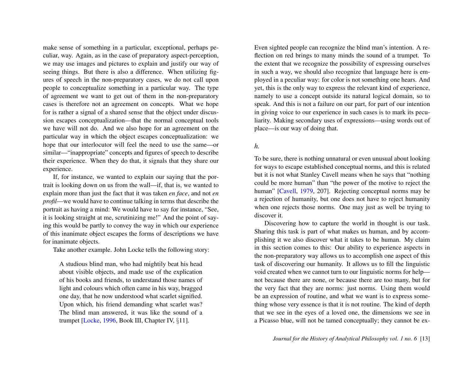make sense of something in a particular, exceptional, perhaps peculiar, way. Again, as in the case of preparatory aspect-perception, we may use images and pictures to explain and justify our way of seeing things. But there is also a difference. When utilizing figures of speech in the non-preparatory cases, we do not call upon people to conceptualize something in a particular way. The type of agreement we want to get out of them in the non-preparatory cases is therefore not an agreement on concepts. What we hope for is rather a signal of a shared sense that the object under discussion escapes conceptualization—that the normal conceptual tools we have will not do. And we also hope for an agreement on the particular way in which the object escapes conceptualization: we hope that our interlocutor will feel the need to use the same—or similar—"inappropriate" concepts and figures of speech to describe their experience. When they do that, it signals that they share our experience.

If, for instance, we wanted to explain our saying that the portrait is looking down on us from the wall—if, that is, we wanted to explain more than just the fact that it was taken *en face*, and not *en profil*—we would have to continue talking in terms that describe the portrait as having a mind: We would have to say for instance, "See, it is looking straight at me, scrutinizing me!" And the point of saying this would be partly to convey the way in which our experience of this inanimate object escapes the forms of descriptions we have for inanimate objects.

Take another example. John Locke tells the following story:

A studious blind man, who had mightily beat his head about visible objects, and made use of the explication of his books and friends, to understand those names of light and colours which often came in his way, bragged one day, that he now understood what scarlet signified. Upon which, his friend demanding what scarlet was? The blind man answered, it was like the sound of a trumpet [\[Locke,](#page-17-7) [1996,](#page-17-7) Book III, Chapter IV, §11].

Even sighted people can recognize the blind man's intention. A reflection on red brings to many minds the sound of a trumpet. To the extent that we recognize the possibility of expressing ourselves in such a way, we should also recognize that language here is employed in a peculiar way: for color is not something one hears. And yet, this is the only way to express the relevant kind of experience, namely to use a concept outside its natural logical domain, so to speak. And this is not a failure on our part, for part of our intention in giving voice to our experience in such cases is to mark its peculiarity. Making secondary uses of expressions—using words out of place—is our way of doing that.

# *h.*

To be sure, there is nothing unnatural or even unusual about looking for ways to escape established conceptual norms, and this is related but it is not what Stanley Cavell means when he says that "nothing could be more human" than "the power of the motive to reject the human" [\[Cavell,](#page-17-8) [1979,](#page-17-8) 207]. Rejecting conceptual norms may be a rejection of humanity, but one does not have to reject humanity when one rejects those norms. One may just as well be trying to discover it.

Discovering how to capture the world in thought is our task. Sharing this task is part of what makes us human, and by accomplishing it we also discover what it takes to be human. My claim in this section comes to this: Our ability to experience aspects in the non-preparatory way allows us to accomplish one aspect of this task of discovering our humanity. It allows us to fill the linguistic void created when we cannot turn to our linguistic norms for help not because there are none, or because there are too many, but for the very fact that they are norms: just norms. Using them would be an expression of routine, and what we want is to express something whose very essence is that it is not routine. The kind of depth that we see in the eyes of a loved one, the dimensions we see in a Picasso blue, will not be tamed conceptually; they cannot be ex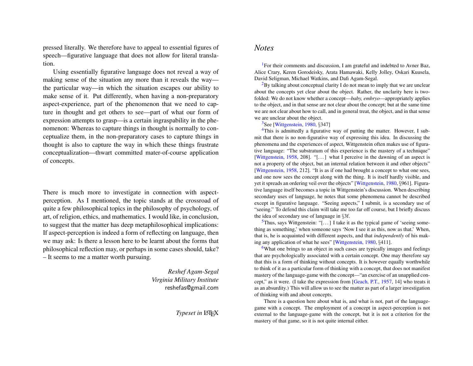pressed literally. We therefore have to appeal to essential figures of speech—figurative language that does not allow for literal translation.

Using essentially figurative language does not reveal a way of making sense of the situation any more than it reveals the way the particular way—in which the situation escapes our ability to make sense of it. Put differently, when having a non-preparatory aspect-experience, part of the phenomenon that we need to capture in thought and get others to see—part of what our form of expression attempts to grasp—is a certain ingraspability in the phenomenon: Whereas to capture things in thought is normally to conceptualize them, in the non-preparatory cases to capture things in thought is also to capture the way in which these things frustrate conceptualization—thwart committed mater-of-course application of concepts.

There is much more to investigate in connection with aspectperception. As I mentioned, the topic stands at the crossroad of quite a few philosophical topics in the philosophy of psychology, of art, of religion, ethics, and mathematics. I would like, in conclusion, to suggest that the matter has deep metaphilosophical implications: If aspect-perception is indeed a form of reflecting on language, then we may ask: Is there a lesson here to be learnt about the forms that philosophical reflection may, or perhaps in some cases should, take? – It seems to me a matter worth pursuing.

> *Reshef Agam-Segal Virginia Military Institute* reshefas@gmail.com

# **Typeset in LATEX**

# *Notes*

<span id="page-14-0"></span><sup>[1](#page-1-0)</sup>For their comments and discussion, I am grateful and indebted to Avner Baz, Alice Crary, Keren Gorodeisky, Arata Hamawaki, Kelly Jolley, Oskari Kuusela, David Seligman, Michael Watkins, and Dafi Agam-Segal.

<span id="page-14-1"></span> ${}^{2}$  ${}^{2}$  ${}^{2}$ By talking about conceptual clarity I do not mean to imply that we are unclear about the concepts yet clear about the object. Rather, the unclarity here is twofolded: We do not know whether a concept—*baby, embryo*—appropriately applies to the object, and in that sense are not clear about the concept; but at the same time we are not clear about how to call, and in general treat, the object, and in that sense we are unclear about the object.

#### <span id="page-14-3"></span><span id="page-14-2"></span><sup>[3](#page-2-0)</sup>See [\[Wittgenstein,](#page-17-2) [1980,](#page-17-2) §347]

<sup>[4](#page-2-1)</sup>This is admittedly a figurative way of putting the matter. However, I submit that there is no non-figurative way of expressing this idea. In discussing the phenomena and the experiences of aspect, Wittgenstein often makes use of figurative language: "The substratum of this experience is the mastery of a technique" [\[Wittgenstein,](#page-17-1) [1958,](#page-17-1) 208]. "[...] what I perceive in the dawning of an aspect is not a property of the object, but an internal relation between it and other objects" [\[Wittgenstein,](#page-17-1) [1958,](#page-17-1) 212]. "It is as if one had brought a concept to what one sees, and one now sees the concept along with the thing. It is itself hardly visible, and yet it spreads an ordering veil over the objects" [\[Wittgenstein,](#page-17-2) [1980,](#page-17-2) §961]. Figurative language itself becomes a topic in Wittgenstein's discussion. When describing secondary uses of language, he notes that some phenomena cannot be described except in figurative language. "Seeing aspects," I submit, is a secondary use of "seeing." To defend this claim will take me too far off course, but I briefly discuss the idea of secondary use of language in §3f.

<span id="page-14-4"></span> $5$ Thus, says Wittgenstein: "[...] I take it as the typical game of 'seeing something as something,' when someone says 'Now I see it as this, now as that.' When, that is, he is acquainted with different aspects, and that *independently* of his making any application of what he sees" [\[Wittgenstein,](#page-17-2) [1980,](#page-17-2) §411].

<span id="page-14-5"></span> $6$ What one brings to an object in such cases are typically images and feelings that are psychologically associated with a certain concept. One may therefore say that this is a form of thinking without concepts. It is however equally worthwhile to think of it as a particular form of thinking with a concept, that does not manifest mastery of the language-game with the concept—"an exercise of an unapplied concept," as it were. (I take the expression from [\[Geach, P.T.,](#page-17-9) [1957,](#page-17-9) 14] who treats it as an absurdity.) This will allow us to see the matter as part of a larger investigation of thinking with and about concepts.

There is a question here about what is, and what is not, part of the languagegame with a concept. The employment of a concept in aspect-perception is not external to the language-game with the concept, but it is not a criterion for the mastery of that game, so it is not quite internal either.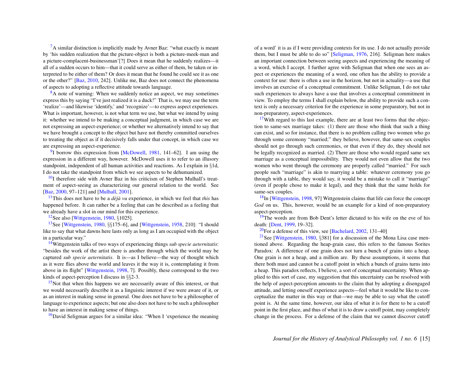<span id="page-15-0"></span> ${}^{7}$  ${}^{7}$  ${}^{7}$ A similar distinction is implicitly made by Avner Baz: "what exactly is meant by 'his sudden realization that the picture-object is both a picture-meek-man and a picture-complacent-businessman'[?] Does it mean that he suddenly realizes—it all of a sudden occurs to him—that it could serve as either of them, be taken or interpreted to be either of them? Or does it mean that he found he could see it as one or the other?" [\[Baz,](#page-17-5) [2010,](#page-17-5) 242]. Unlike me, Baz does not connect the phenomena of aspects to adopting a reflective attitude towards language.

<span id="page-15-1"></span><sup>[8](#page-3-3)</sup>A note of warning: When we suddenly notice an aspect, we may sometimes express this by saying "I've just realized it is a duck!" That is, we may use the term 'realize'—and likewise 'identify,' and 'recognize'—to express aspect experiences. What is important, however, is not what term we use, but what we intend by using it: whether we intend to be making a conceptual judgment, in which case we are not expressing an aspect-experience; or whether we alternatively intend to say that we have brought a concept to the object but have not thereby committed ourselves to treating the object as if it decisively falls under that concept, in which case we are expressing an aspect-experience.

<span id="page-15-2"></span><sup>[9](#page-3-4)</sup>I borrow this expression from [\[McDowell,](#page-17-10) [1981,](#page-17-10) 141–62]. I am using the expression in a different way, however. McDowell uses it to refer to an illusory standpoint, independent of all human activities and reactions. As I explain in §1d, I do not take the standpoint from which we see aspects to be dehumanized.

<span id="page-15-3"></span> $10<sup>10</sup>$  $10<sup>10</sup>$ I therefore side with Avner Baz in his criticism of Stephen Mulhall's treatment of aspect-seeing as characterizing our general relation to the world. See [\[Baz,](#page-17-4) [2000,](#page-17-4) 97–121] and [\[Mulhall,](#page-17-11) [2001\]](#page-17-11).

<span id="page-15-4"></span><sup>[11](#page-4-1)</sup>This does not have to be a  $d\ell j\dot{a}$  *vu* experience, in which we feel that *this* has happened before. It can rather be a feeling that can be described as a feeling that we already have a slot in our mind for this experience.

<span id="page-15-6"></span><span id="page-15-5"></span>[12](#page-4-2)See also [\[Wittgenstein,](#page-17-2) [1980,](#page-17-2) §1025].

[13](#page-4-3)See [\[Wittgenstein,](#page-17-2) [1980,](#page-17-2) §§175–6], and [\[Wittgenstein,](#page-17-1) [1958,](#page-17-1) 210]: "I should like to say that what dawns here lasts only as long as I am occupied with the object in a particular way."

<span id="page-15-7"></span>[14](#page-4-4)Wittgenstein talks of two ways of experiencing things *sub specie aeternitatis*: "besides the work of the artist there is another through which the world may be captured *sub specie aeternitatis*. It is—as I believe—the way of thought which as it were flies above the world and leaves it the way it is, contemplating it from above in its flight" [\[Wittgenstein,](#page-17-12) [1998,](#page-17-12) 7]. Possibly, these correspond to the two kinds of aspect-perception I discuss in §§2-3.

<span id="page-15-8"></span> $15$ Not that when this happens we are necessarily aware of this interest, or that we would necessarily describe it as a linguistic interest if we were aware of it, or as an interest in making sense in general. One does not have to be a philosopher of language to experience aspects; but one also does not have to be such a philosopher to have an interest in making sense of things.

<span id="page-15-9"></span> $16$ David Seligman argues for a similar idea: "When I 'experience the meaning

of a word' it is as if I were providing contexts for its use. I do not actually provide them, but I must be able to do so" [\[Seligman,](#page-17-13) [1976,](#page-17-13) 216]. Seligman here makes an important connection between seeing aspects and experiencing the meaning of a word, which I accept. I further agree with Seligman that when one sees an aspect or experiences the meaning of a word, one often has the ability to provide a context for use: there is often a use in the horizon, but not in actuality—a use that involves an exercise of a conceptual commitment. Unlike Seligman, I do not take such experiences to always have a use that involves a conceptual commitment in view. To employ the terms I shall explain below, the ability to provide such a context is only a necessary criterion for the experience in some preparatory, but not in non-preparatory, aspect-experiences.

<span id="page-15-10"></span> $17$ With regard to this last example, there are at least two forms that the objection to same-sex marriage takes: (1) there are those who think that such a thing can exist, and so for instance, that there is no problem calling two women who go through some ceremony "married;" they believe, however, that same-sex couples should not go through such ceremonies, or that even if they do, they should not be legally recognized as married. (2) There are those who would regard same sex marriage as a conceptual impossibility. They would not even allow that the two women who went through the ceremony are properly called "married." For such people such "marriage" is akin to marrying a table: whatever ceremony you go through with a table, they would say, it would be a mistake to call it "marriage" (even if people chose to make it legal), and they think that the same holds for same-sex couples.

<span id="page-15-11"></span><sup>[18](#page-6-0)</sup>In [\[Wittgenstein,](#page-17-12) [1998,](#page-17-12) 97] Wittgenstein claims that life can force the concept *God* on us. This, however, would be an example for a kind of non-preparatory aspect-perception.

<span id="page-15-12"></span><sup>[19](#page-7-0)</sup>The words are from Bob Dent's letter dictated to his wife on the eve of his death: [\[Dent,](#page-17-14) [1999,](#page-17-14) 19–32].

<span id="page-15-14"></span><span id="page-15-13"></span> $20$ For a defense of this view, see [\[Bachelard,](#page-17-15) [2002,](#page-17-15) 131–40]

<sup>[21](#page-7-2)</sup>See [\[Wittgenstein,](#page-17-2) [1980,](#page-17-2) §381] for a discussion of the Mona Lisa case mentioned above. Regarding the heap-grain case, this refers to the famous Sorites Paradox: A difference of one grain does not turn a bunch of grains into a heap. One grain is not a heap, and a million are. By these assumptions, it seems that there both must and cannot be a cutoff point in which a bunch of grains turns into a heap. This paradox reflects, I believe, a sort of conceptual uncertainty. When applied to this sort of case, my suggestion that this uncertainty can be resolved with the help of aspect-perception amounts to the claim that by adopting a disengaged attitude, and letting oneself experience aspects—feel what it would be like to conceptualize the matter in this way or that—we may be able to say what the cutoff point is. At the same time, however, our idea of what it is for there to be a cutoff point in the first place, and thus of what it is to draw a cutoff point, may completely change in the process. For a defense of the claim that we cannot discover cutoff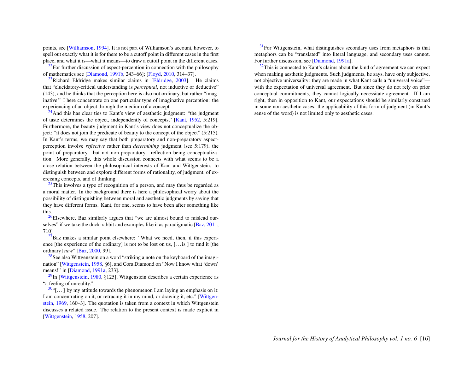points, see [\[Williamson,](#page-17-16) [1994\]](#page-17-16). It is not part of Williamson's account, however, to spell out exactly what it is for there to be a cutoff point in different cases in the first place, and what it is—what it means—to draw a cutoff point in the different cases.

<span id="page-16-0"></span> $22$ For further discussion of aspect-perception in connection with the philosophy of mathematics see [\[Diamond,](#page-17-17) [1991b,](#page-17-17) 243–66]; [\[Floyd,](#page-17-18) [2010,](#page-17-18) 314–37].

<span id="page-16-1"></span> $^{23}$  $^{23}$  $^{23}$ Richard Eldridge makes similar claims in [\[Eldridge,](#page-17-19) [2003\]](#page-17-19). He claims that "elucidatory-critical understanding is *perceptual*, not inductive or deductive" (143), and he thinks that the perception here is also not ordinary, but rather "imaginative." I here concentrate on one particular type of imaginative perception: the experiencing of an object through the medium of a concept.

<span id="page-16-2"></span> $24$ And this has clear ties to Kant's view of aesthetic judgment: "the judgment" of taste determines the object, independently of concepts," [\[Kant,](#page-17-20) [1952,](#page-17-20) 5:219]. Furthermore, the beauty judgment in Kant's view does not conceptualize the object: "it does not join the predicate of beauty to the concept of the object" (5:215). In Kant's terms, we may say that both preparatory and non-preparatory aspectperception involve *reflective* rather than *determining* judgment (see 5:179), the point of preparatory—but not non-preparatory—reflection being conceptualization. More generally, this whole discussion connects with what seems to be a close relation between the philosophical interests of Kant and Wittgenstein: to distinguish between and explore different forms of rationality, of judgment, of exercising concepts, and of thinking.

<span id="page-16-3"></span> $25$ This involves a type of recognition of a person, and may thus be regarded as a moral matter. In the background there is here a philosophical worry about the possibility of distinguishing between moral and aesthetic judgments by saying that they have different forms. Kant, for one, seems to have been after something like this.

<span id="page-16-4"></span> $26$ Elsewhere, Baz similarly argues that "we are almost bound to mislead ourselves" if we take the duck-rabbit and examples like it as paradigmatic [\[Baz,](#page-17-21) [2011,](#page-17-21) 710]

<span id="page-16-5"></span> $^{27}$  $^{27}$  $^{27}$ Baz makes a similar point elsewhere: "What we need, then, if this experience [the experience of the ordinary] is not to be lost on us, [. . . is ] to find it [the ordinary] *new*" [\[Baz,](#page-17-4) [2000,](#page-17-4) 99].

<span id="page-16-6"></span><sup>[28](#page-11-1)</sup>See also Wittgenstein on a word "striking a note on the keyboard of the imagination" [\[Wittgenstein,](#page-17-1) [1958,](#page-17-1) §6], and Cora Diamond on "Now I know what 'down' means!" in [\[Diamond,](#page-17-22) [1991a,](#page-17-22) 233].

<span id="page-16-7"></span> $29$ In [\[Wittgenstein,](#page-17-2) [1980,](#page-17-2) §125], Wittgenstein describes a certain experience as "a feeling of unreality."

<span id="page-16-8"></span> $30$ "[...] by my attitude towards the phenomenon I am laying an emphasis on it: I am concentrating on it, or retracing it in my mind, or drawing it, etc." [\[Wittgen](#page-17-23)[stein,](#page-17-23) [1969,](#page-17-23) 160–3]. The quotation is taken from a context in which Wittgenstein discusses a related issue. The relation to the present context is made explicit in [\[Wittgenstein,](#page-17-1) [1958,](#page-17-1) 207].

<span id="page-16-9"></span> $31$  For Wittgenstein, what distinguishes secondary uses from metaphors is that metaphors can be "translated" into literal language, and secondary uses cannot. For further discussion, see [\[Diamond,](#page-17-22) [1991a\]](#page-17-22).

<span id="page-16-10"></span> $32$ This is connected to Kant's claims about the kind of agreement we can expect when making aesthetic judgments. Such judgments, he says, have only subjective, not objective universality: they are made in what Kant calls a "universal voice" with the expectation of universal agreement. But since they do not rely on prior conceptual commitments, they cannot logically necessitate agreement. If I am right, then in opposition to Kant, our expectations should be similarly construed in some non-aesthetic cases: the applicability of this form of judgment (in Kant's sense of the word) is not limited only to aesthetic cases.